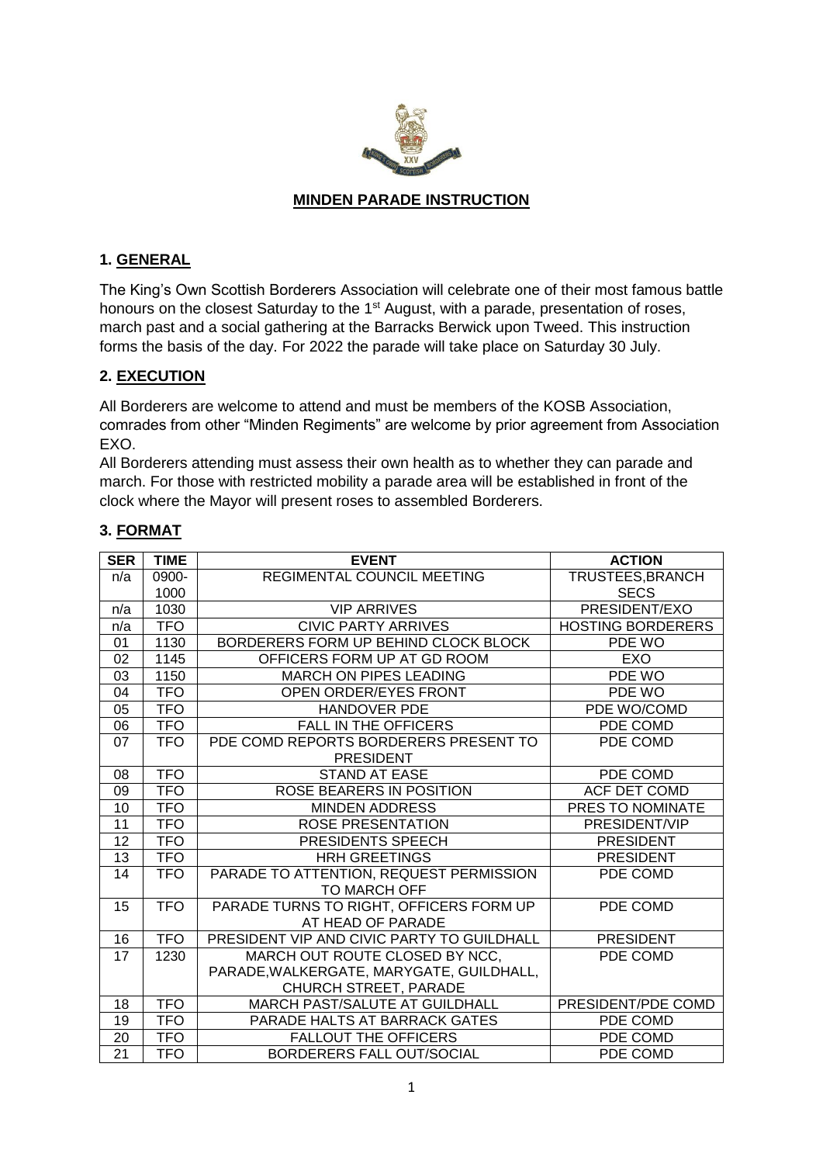

#### **MINDEN PARADE INSTRUCTION**

#### **1. GENERAL**

The King's Own Scottish Borderers Association will celebrate one of their most famous battle honours on the closest Saturday to the 1<sup>st</sup> August, with a parade, presentation of roses, march past and a social gathering at the Barracks Berwick upon Tweed. This instruction forms the basis of the day. For 2022 the parade will take place on Saturday 30 July.

#### **2. EXECUTION**

All Borderers are welcome to attend and must be members of the KOSB Association, comrades from other "Minden Regiments" are welcome by prior agreement from Association EXO.

All Borderers attending must assess their own health as to whether they can parade and march. For those with restricted mobility a parade area will be established in front of the clock where the Mayor will present roses to assembled Borderers.

| <b>SER</b>      | <b>TIME</b> | <b>EVENT</b>                                                 | <b>ACTION</b>            |
|-----------------|-------------|--------------------------------------------------------------|--------------------------|
| n/a             | 0900-       | <b>REGIMENTAL COUNCIL MEETING</b>                            | TRUSTEES, BRANCH         |
|                 | 1000        |                                                              | <b>SECS</b>              |
| n/a             | 1030        | <b>VIP ARRIVES</b>                                           | PRESIDENT/EXO            |
| n/a             | <b>TFO</b>  | <b>CIVIC PARTY ARRIVES</b>                                   | <b>HOSTING BORDERERS</b> |
| 01              | 1130        | BORDERERS FORM UP BEHIND CLOCK BLOCK                         | PDE WO                   |
| 02              | 1145        | OFFICERS FORM UP AT GD ROOM                                  | EXO                      |
| 03              | 1150        | MARCH ON PIPES LEADING                                       | PDE WO                   |
| 04              | <b>TFO</b>  | OPEN ORDER/EYES FRONT                                        | PDE WO                   |
| 05              | <b>TFO</b>  | <b>HANDOVER PDE</b>                                          | PDE WO/COMD              |
| 06              | <b>TFO</b>  | <b>FALL IN THE OFFICERS</b>                                  | PDE COMD                 |
| 07              | <b>TFO</b>  | PDE COMD REPORTS BORDERERS PRESENT TO<br><b>PRESIDENT</b>    | PDE COMD                 |
| 08              | <b>TFO</b>  | <b>STAND AT EASE</b>                                         | PDE COMD                 |
| 09              | <b>TFO</b>  | ROSE BEARERS IN POSITION                                     | ACF DET COMD             |
| 10              | <b>TFO</b>  | <b>MINDEN ADDRESS</b>                                        | PRES TO NOMINATE         |
| $\overline{11}$ | <b>TFO</b>  | <b>ROSE PRESENTATION</b>                                     | PRESIDENT/VIP            |
| 12              | <b>TFO</b>  | PRESIDENTS SPEECH                                            | <b>PRESIDENT</b>         |
| $\overline{13}$ | <b>TFO</b>  | <b>HRH GREETINGS</b>                                         | <b>PRESIDENT</b>         |
| 14              | <b>TFO</b>  | PARADE TO ATTENTION, REQUEST PERMISSION<br>TO MARCH OFF      | PDE COMD                 |
| 15              | <b>TFO</b>  | PARADE TURNS TO RIGHT, OFFICERS FORM UP<br>AT HEAD OF PARADE | PDE COMD                 |
| 16              | <b>TFO</b>  | PRESIDENT VIP AND CIVIC PARTY TO GUILDHALL                   | <b>PRESIDENT</b>         |
| 17              | 1230        | MARCH OUT ROUTE CLOSED BY NCC,                               | PDE COMD                 |
|                 |             | PARADE, WALKERGATE, MARYGATE, GUILDHALL,                     |                          |
|                 |             | CHURCH STREET, PARADE                                        |                          |
| 18              | <b>TFO</b>  | MARCH PAST/SALUTE AT GUILDHALL                               | PRESIDENT/PDE COMD       |
| 19              | <b>TFO</b>  | PARADE HALTS AT BARRACK GATES                                | PDE COMD                 |
| 20              | <b>TFO</b>  | <b>FALLOUT THE OFFICERS</b>                                  | PDE COMD                 |
| $\overline{21}$ | <b>TFO</b>  | BORDERERS FALL OUT/SOCIAL                                    | PDE COMD                 |

### **3. FORMAT**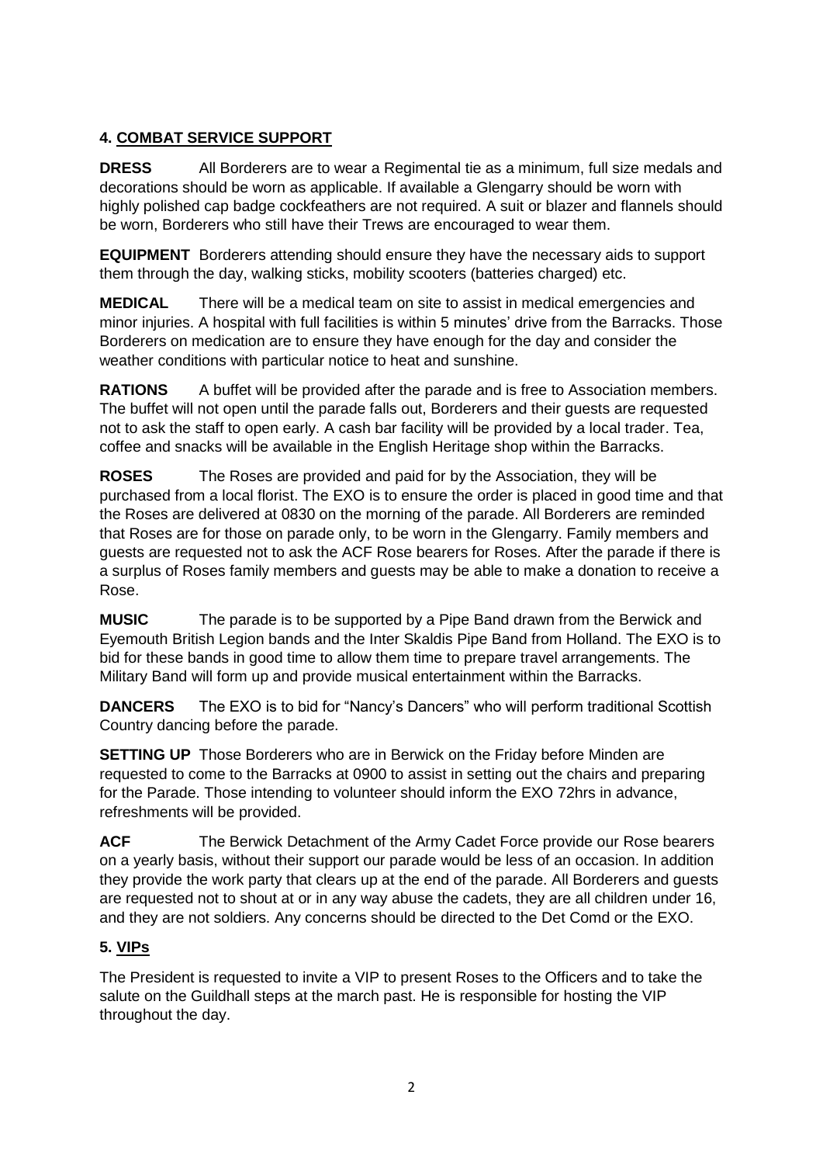## **4. COMBAT SERVICE SUPPORT**

**DRESS** All Borderers are to wear a Regimental tie as a minimum, full size medals and decorations should be worn as applicable. If available a Glengarry should be worn with highly polished cap badge cockfeathers are not required. A suit or blazer and flannels should be worn, Borderers who still have their Trews are encouraged to wear them.

**EQUIPMENT** Borderers attending should ensure they have the necessary aids to support them through the day, walking sticks, mobility scooters (batteries charged) etc.

**MEDICAL** There will be a medical team on site to assist in medical emergencies and minor injuries. A hospital with full facilities is within 5 minutes' drive from the Barracks. Those Borderers on medication are to ensure they have enough for the day and consider the weather conditions with particular notice to heat and sunshine.

**RATIONS** A buffet will be provided after the parade and is free to Association members. The buffet will not open until the parade falls out, Borderers and their guests are requested not to ask the staff to open early. A cash bar facility will be provided by a local trader. Tea, coffee and snacks will be available in the English Heritage shop within the Barracks.

**ROSES** The Roses are provided and paid for by the Association, they will be purchased from a local florist. The EXO is to ensure the order is placed in good time and that the Roses are delivered at 0830 on the morning of the parade. All Borderers are reminded that Roses are for those on parade only, to be worn in the Glengarry. Family members and guests are requested not to ask the ACF Rose bearers for Roses. After the parade if there is a surplus of Roses family members and guests may be able to make a donation to receive a Rose.

**MUSIC** The parade is to be supported by a Pipe Band drawn from the Berwick and Eyemouth British Legion bands and the Inter Skaldis Pipe Band from Holland. The EXO is to bid for these bands in good time to allow them time to prepare travel arrangements. The Military Band will form up and provide musical entertainment within the Barracks.

**DANCERS** The EXO is to bid for "Nancy's Dancers" who will perform traditional Scottish Country dancing before the parade.

**SETTING UP** Those Borderers who are in Berwick on the Friday before Minden are requested to come to the Barracks at 0900 to assist in setting out the chairs and preparing for the Parade. Those intending to volunteer should inform the EXO 72hrs in advance, refreshments will be provided.

**ACF** The Berwick Detachment of the Army Cadet Force provide our Rose bearers on a yearly basis, without their support our parade would be less of an occasion. In addition they provide the work party that clears up at the end of the parade. All Borderers and guests are requested not to shout at or in any way abuse the cadets, they are all children under 16, and they are not soldiers. Any concerns should be directed to the Det Comd or the EXO.

### **5. VIPs**

The President is requested to invite a VIP to present Roses to the Officers and to take the salute on the Guildhall steps at the march past. He is responsible for hosting the VIP throughout the day.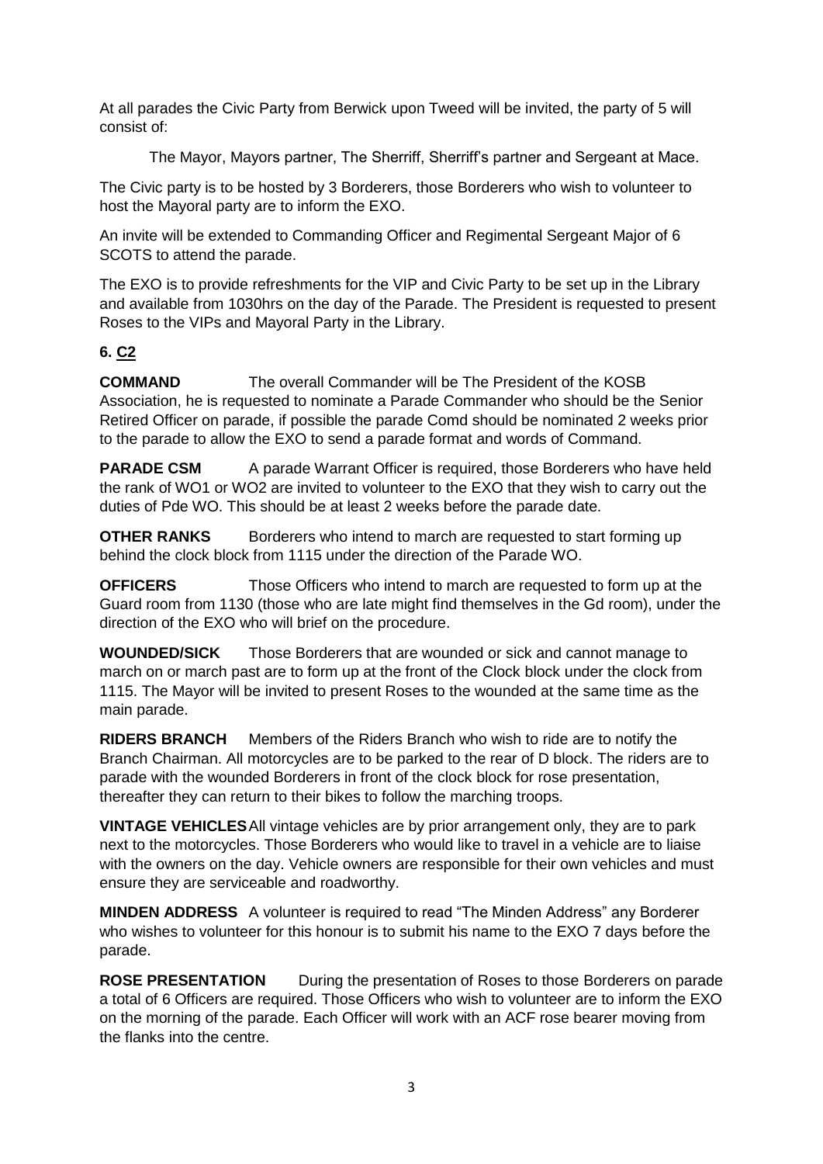At all parades the Civic Party from Berwick upon Tweed will be invited, the party of 5 will consist of:

The Mayor, Mayors partner, The Sherriff, Sherriff's partner and Sergeant at Mace.

The Civic party is to be hosted by 3 Borderers, those Borderers who wish to volunteer to host the Mayoral party are to inform the EXO.

An invite will be extended to Commanding Officer and Regimental Sergeant Major of 6 SCOTS to attend the parade.

The EXO is to provide refreshments for the VIP and Civic Party to be set up in the Library and available from 1030hrs on the day of the Parade. The President is requested to present Roses to the VIPs and Mayoral Party in the Library.

### **6. C2**

**COMMAND** The overall Commander will be The President of the KOSB Association, he is requested to nominate a Parade Commander who should be the Senior Retired Officer on parade, if possible the parade Comd should be nominated 2 weeks prior to the parade to allow the EXO to send a parade format and words of Command.

**PARADE CSM** A parade Warrant Officer is required, those Borderers who have held the rank of WO1 or WO2 are invited to volunteer to the EXO that they wish to carry out the duties of Pde WO. This should be at least 2 weeks before the parade date.

**OTHER RANKS** Borderers who intend to march are requested to start forming up behind the clock block from 1115 under the direction of the Parade WO.

**OFFICERS** Those Officers who intend to march are requested to form up at the Guard room from 1130 (those who are late might find themselves in the Gd room), under the direction of the EXO who will brief on the procedure.

**WOUNDED/SICK** Those Borderers that are wounded or sick and cannot manage to march on or march past are to form up at the front of the Clock block under the clock from 1115. The Mayor will be invited to present Roses to the wounded at the same time as the main parade.

**RIDERS BRANCH** Members of the Riders Branch who wish to ride are to notify the Branch Chairman. All motorcycles are to be parked to the rear of D block. The riders are to parade with the wounded Borderers in front of the clock block for rose presentation, thereafter they can return to their bikes to follow the marching troops.

**VINTAGE VEHICLES**All vintage vehicles are by prior arrangement only, they are to park next to the motorcycles. Those Borderers who would like to travel in a vehicle are to liaise with the owners on the day. Vehicle owners are responsible for their own vehicles and must ensure they are serviceable and roadworthy.

**MINDEN ADDRESS** A volunteer is required to read "The Minden Address" any Borderer who wishes to volunteer for this honour is to submit his name to the EXO 7 days before the parade.

**ROSE PRESENTATION** During the presentation of Roses to those Borderers on parade a total of 6 Officers are required. Those Officers who wish to volunteer are to inform the EXO on the morning of the parade. Each Officer will work with an ACF rose bearer moving from the flanks into the centre.